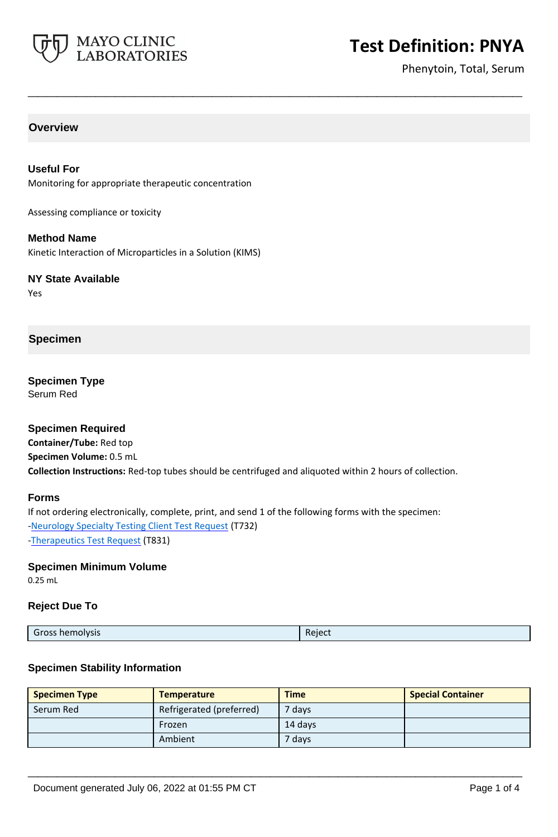

Phenytoin, Total, Serum

## **Overview**

**Useful For** Monitoring for appropriate therapeutic concentration

Assessing compliance or toxicity

**Method Name** Kinetic Interaction of Microparticles in a Solution (KIMS)

**NY State Available**

Yes

## **Specimen**

**Specimen Type** Serum Red

### **Specimen Required**

**Container/Tube:** Red top **Specimen Volume:** 0.5 mL **Collection Instructions:** Red-top tubes should be centrifuged and aliquoted within 2 hours of collection.

**\_\_\_\_\_\_\_\_\_\_\_\_\_\_\_\_\_\_\_\_\_\_\_\_\_\_\_\_\_\_\_\_\_\_\_\_\_\_\_\_\_\_\_\_\_\_\_\_\_\_\_**

#### **Forms**

If not ordering electronically, complete, print, and send 1 of the following forms with the specimen: [-Neurology Specialty Testing Client Test Request](https://www.mayocliniclabs.com/it-mmfiles/neurology-request-form.pdf) (T732) [-Therapeutics Test Request](https://www.mayocliniclabs.com/it-mmfiles/Therapeutics-Requisition-Request-Form_MC0767-19.pdf) (T831)

#### **Specimen Minimum Volume**

0.25 mL

### **Reject Due To**

| Gross hemolysis | Reject |
|-----------------|--------|
|                 |        |

### **Specimen Stability Information**

| <b>Specimen Type</b> | <b>Temperature</b>       | <b>Time</b>       | <b>Special Container</b> |
|----------------------|--------------------------|-------------------|--------------------------|
| Serum Red            | Refrigerated (preferred) | <sup>7</sup> days |                          |
|                      | Frozen                   | 14 davs           |                          |
|                      | Ambient                  | ' days'           |                          |

**\_\_\_\_\_\_\_\_\_\_\_\_\_\_\_\_\_\_\_\_\_\_\_\_\_\_\_\_\_\_\_\_\_\_\_\_\_\_\_\_\_\_\_\_\_\_\_\_\_\_\_**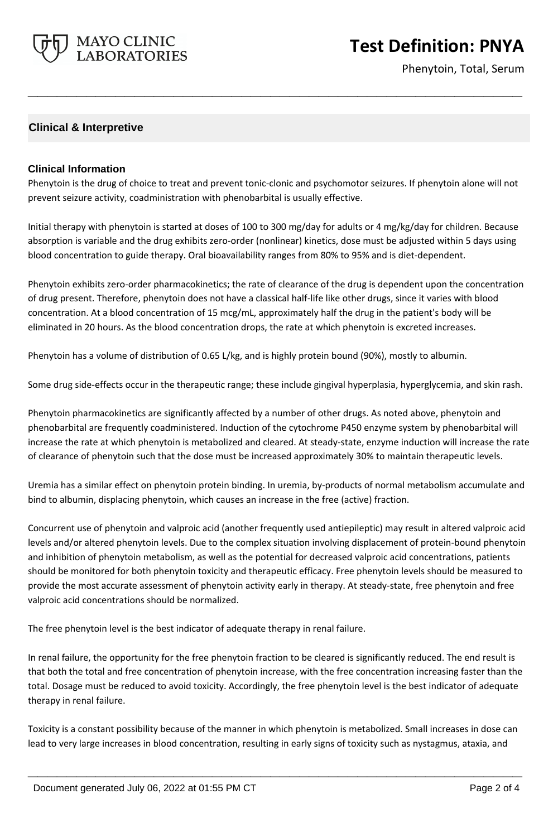

Phenytoin, Total, Serum

## **Clinical & Interpretive**

### **Clinical Information**

Phenytoin is the drug of choice to treat and prevent tonic-clonic and psychomotor seizures. If phenytoin alone will not prevent seizure activity, coadministration with phenobarbital is usually effective.

**\_\_\_\_\_\_\_\_\_\_\_\_\_\_\_\_\_\_\_\_\_\_\_\_\_\_\_\_\_\_\_\_\_\_\_\_\_\_\_\_\_\_\_\_\_\_\_\_\_\_\_**

Initial therapy with phenytoin is started at doses of 100 to 300 mg/day for adults or 4 mg/kg/day for children. Because absorption is variable and the drug exhibits zero-order (nonlinear) kinetics, dose must be adjusted within 5 days using blood concentration to guide therapy. Oral bioavailability ranges from 80% to 95% and is diet-dependent.

Phenytoin exhibits zero-order pharmacokinetics; the rate of clearance of the drug is dependent upon the concentration of drug present. Therefore, phenytoin does not have a classical half-life like other drugs, since it varies with blood concentration. At a blood concentration of 15 mcg/mL, approximately half the drug in the patient's body will be eliminated in 20 hours. As the blood concentration drops, the rate at which phenytoin is excreted increases.

Phenytoin has a volume of distribution of 0.65 L/kg, and is highly protein bound (90%), mostly to albumin.

Some drug side-effects occur in the therapeutic range; these include gingival hyperplasia, hyperglycemia, and skin rash.

Phenytoin pharmacokinetics are significantly affected by a number of other drugs. As noted above, phenytoin and phenobarbital are frequently coadministered. Induction of the cytochrome P450 enzyme system by phenobarbital will increase the rate at which phenytoin is metabolized and cleared. At steady-state, enzyme induction will increase the rate of clearance of phenytoin such that the dose must be increased approximately 30% to maintain therapeutic levels.

Uremia has a similar effect on phenytoin protein binding. In uremia, by-products of normal metabolism accumulate and bind to albumin, displacing phenytoin, which causes an increase in the free (active) fraction.

Concurrent use of phenytoin and valproic acid (another frequently used antiepileptic) may result in altered valproic acid levels and/or altered phenytoin levels. Due to the complex situation involving displacement of protein-bound phenytoin and inhibition of phenytoin metabolism, as well as the potential for decreased valproic acid concentrations, patients should be monitored for both phenytoin toxicity and therapeutic efficacy. Free phenytoin levels should be measured to provide the most accurate assessment of phenytoin activity early in therapy. At steady-state, free phenytoin and free valproic acid concentrations should be normalized.

The free phenytoin level is the best indicator of adequate therapy in renal failure.

In renal failure, the opportunity for the free phenytoin fraction to be cleared is significantly reduced. The end result is that both the total and free concentration of phenytoin increase, with the free concentration increasing faster than the total. Dosage must be reduced to avoid toxicity. Accordingly, the free phenytoin level is the best indicator of adequate therapy in renal failure.

Toxicity is a constant possibility because of the manner in which phenytoin is metabolized. Small increases in dose can lead to very large increases in blood concentration, resulting in early signs of toxicity such as nystagmus, ataxia, and

**\_\_\_\_\_\_\_\_\_\_\_\_\_\_\_\_\_\_\_\_\_\_\_\_\_\_\_\_\_\_\_\_\_\_\_\_\_\_\_\_\_\_\_\_\_\_\_\_\_\_\_**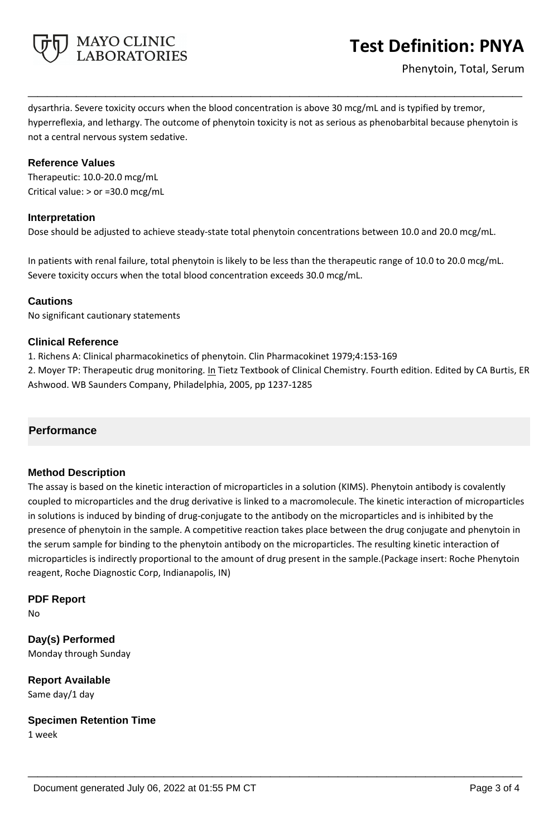

dysarthria. Severe toxicity occurs when the blood concentration is above 30 mcg/mL and is typified by tremor, hyperreflexia, and lethargy. The outcome of phenytoin toxicity is not as serious as phenobarbital because phenytoin is not a central nervous system sedative.

**\_\_\_\_\_\_\_\_\_\_\_\_\_\_\_\_\_\_\_\_\_\_\_\_\_\_\_\_\_\_\_\_\_\_\_\_\_\_\_\_\_\_\_\_\_\_\_\_\_\_\_**

### **Reference Values**

Therapeutic: 10.0-20.0 mcg/mL Critical value: > or =30.0 mcg/mL

## **Interpretation**

Dose should be adjusted to achieve steady-state total phenytoin concentrations between 10.0 and 20.0 mcg/mL.

In patients with renal failure, total phenytoin is likely to be less than the therapeutic range of 10.0 to 20.0 mcg/mL. Severe toxicity occurs when the total blood concentration exceeds 30.0 mcg/mL.

## **Cautions**

No significant cautionary statements

## **Clinical Reference**

1. Richens A: Clinical pharmacokinetics of phenytoin. Clin Pharmacokinet 1979;4:153-169

2. Moyer TP: Therapeutic drug monitoring. In Tietz Textbook of Clinical Chemistry. Fourth edition. Edited by CA Burtis, ER Ashwood. WB Saunders Company, Philadelphia, 2005, pp 1237-1285

## **Performance**

### **Method Description**

The assay is based on the kinetic interaction of microparticles in a solution (KIMS). Phenytoin antibody is covalently coupled to microparticles and the drug derivative is linked to a macromolecule. The kinetic interaction of microparticles in solutions is induced by binding of drug-conjugate to the antibody on the microparticles and is inhibited by the presence of phenytoin in the sample. A competitive reaction takes place between the drug conjugate and phenytoin in the serum sample for binding to the phenytoin antibody on the microparticles. The resulting kinetic interaction of microparticles is indirectly proportional to the amount of drug present in the sample.(Package insert: Roche Phenytoin reagent, Roche Diagnostic Corp, Indianapolis, IN)

**\_\_\_\_\_\_\_\_\_\_\_\_\_\_\_\_\_\_\_\_\_\_\_\_\_\_\_\_\_\_\_\_\_\_\_\_\_\_\_\_\_\_\_\_\_\_\_\_\_\_\_**

### **PDF Report**

No

**Day(s) Performed** Monday through Sunday

**Report Available** Same day/1 day

**Specimen Retention Time** 1 week